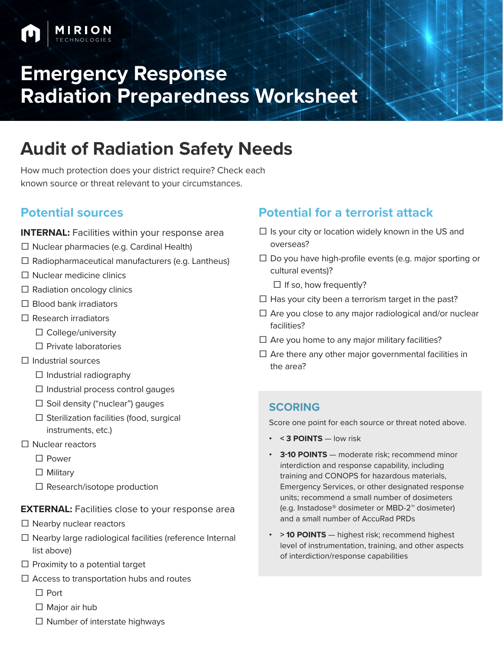# **Emergency Response Radiation Preparedness Worksheet**

## **Audit of Radiation Safety Needs**

How much protection does your district require? Check each known source or threat relevant to your circumstances.

### **Potential sources**

**INTERNAL:** Facilities within your response area

- $\Box$  Nuclear pharmacies (e.g. Cardinal Health)
- ☐ Radiopharmaceutical manufacturers (e.g. Lantheus)
- ☐ Nuclear medicine clinics
- $\Box$  Radiation oncology clinics
- $\Box$  Blood bank irradiators
- $\Box$  Research irradiators
	- ☐ College/university
	- ☐ Private laboratories
- ☐ Industrial sources
	- $\Box$  Industrial radiography
	- $\Box$  Industrial process control gauges
	- $\Box$  Soil density ("nuclear") gauges
	- $\Box$  Sterilization facilities (food, surgical instruments, etc.)
- ☐ Nuclear reactors
	- ☐ Power
	- □ Military
	- □ Research/isotope production

#### **EXTERNAL:** Facilities close to your response area

- □ Nearby nuclear reactors
- $\Box$  Nearby large radiological facilities (reference Internal list above)
- $\Box$  Proximity to a potential target
- $\Box$  Access to transportation hubs and routes
	- ☐ Port
	- □ Major air hub
	- $\Box$  Number of interstate highways

### **Potential for a terrorist attack**

- $\Box$  Is your city or location widely known in the US and overseas?
- $\Box$  Do you have high-profile events (e.g. major sporting or cultural events)?
	- $\Box$  If so, how frequently?
- $\Box$  Has your city been a terrorism target in the past?
- $\Box$  Are you close to any major radiological and/or nuclear facilities?
- $\Box$  Are you home to any major military facilities?
- $\Box$  Are there any other major governmental facilities in the area?

#### **SCORING**

Score one point for each source or threat noted above.

- **• < 3 POINTS** low risk
- **• 3-10 POINTS** moderate risk; recommend minor interdiction and response capability, including training and CONOPS for hazardous materials, Emergency Services, or other designated response units; recommend a small number of dosimeters (e.g. Instadose® dosimeter or MBD-2™ dosimeter) and a small number of AccuRad PRDs
- **• > 10 POINTS** highest risk; recommend highest level of instrumentation, training, and other aspects of interdiction/response capabilities